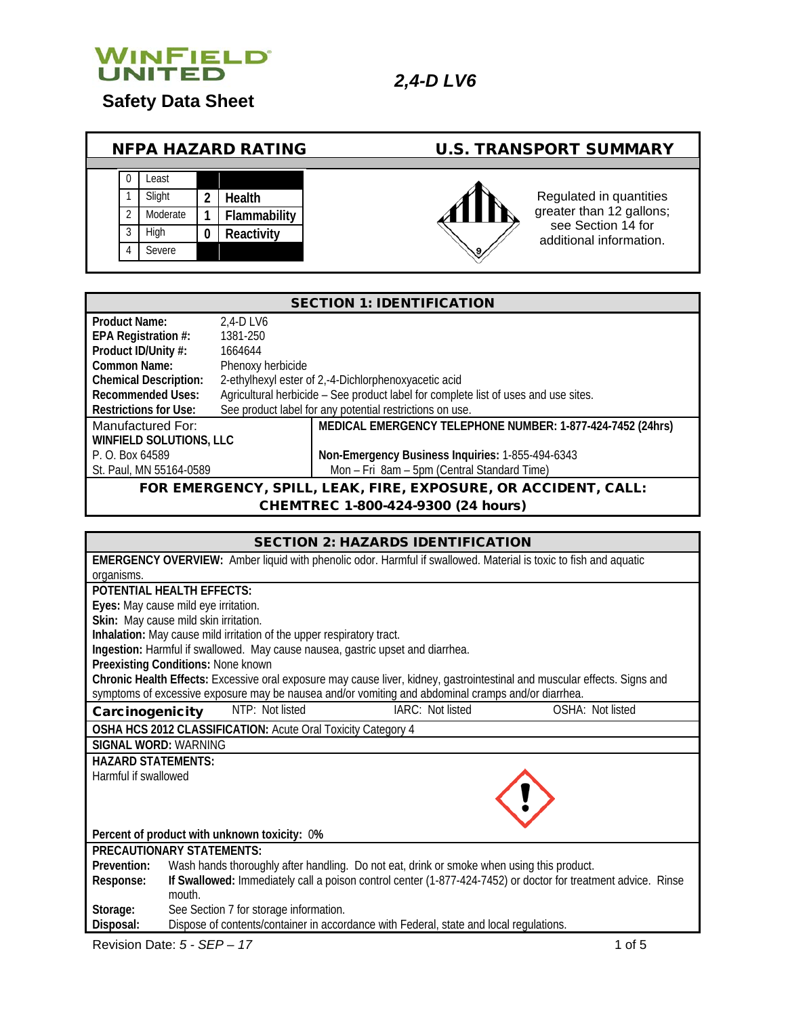

# **Safety Data Sheet**

| <b>NFPA HAZARD RATING</b> |  |          |   |               |               | <b>U.S. TRANSPORT SUMMARY</b>                  |
|---------------------------|--|----------|---|---------------|---------------|------------------------------------------------|
|                           |  | ∟east    |   |               |               |                                                |
|                           |  | Slight   |   | <b>Health</b> |               | Regulated in quantities                        |
|                           |  | Moderate |   | Flammability  |               | greater than 12 gallons;<br>see Section 14 for |
|                           |  | Hiah     | 0 | Reactivity    |               | additional information.                        |
|                           |  | Severe   |   |               | $\mathcal{S}$ |                                                |
|                           |  |          |   |               |               |                                                |

| <b>SECTION 1: IDENTIFICATION</b>                                       |                                                                |                                                                                     |  |
|------------------------------------------------------------------------|----------------------------------------------------------------|-------------------------------------------------------------------------------------|--|
| <b>Product Name:</b>                                                   | 2.4-D LV6                                                      |                                                                                     |  |
| EPA Registration #:                                                    | 1381-250                                                       |                                                                                     |  |
| Product ID/Unity #:                                                    | 1664644                                                        |                                                                                     |  |
| Common Name:                                                           | Phenoxy herbicide                                              |                                                                                     |  |
| <b>Chemical Description:</b>                                           |                                                                | 2-ethylhexyl ester of 2,-4-Dichlorphenoxyacetic acid                                |  |
| <b>Recommended Uses:</b>                                               |                                                                | Agricultural herbicide - See product label for complete list of uses and use sites. |  |
| <b>Restrictions for Use:</b>                                           |                                                                | See product label for any potential restrictions on use.                            |  |
| Manufactured For:                                                      |                                                                | MEDICAL EMERGENCY TELEPHONE NUMBER: 1-877-424-7452 (24hrs)                          |  |
| <b>WINFIELD SOLUTIONS, LLC</b>                                         |                                                                |                                                                                     |  |
| P. O. Box 64589                                                        |                                                                | Non-Emergency Business Inquiries: 1-855-494-6343                                    |  |
| Mon - Fri 8am - 5pm (Central Standard Time)<br>St. Paul, MN 55164-0589 |                                                                |                                                                                     |  |
|                                                                        | FOR EMERGENCY, SPILL, LEAK, FIRE, EXPOSURE, OR ACCIDENT, CALL: |                                                                                     |  |

CHEMTREC 1-800-424-9300 (24 hours)

| <b>SECTION 2: HAZARDS IDENTIFICATION</b>                                                                                   |  |  |  |
|----------------------------------------------------------------------------------------------------------------------------|--|--|--|
| EMERGENCY OVERVIEW: Amber liquid with phenolic odor. Harmful if swallowed. Material is toxic to fish and aquatic           |  |  |  |
| organisms.                                                                                                                 |  |  |  |
| POTENTIAL HEALTH FEFECTS:                                                                                                  |  |  |  |
| Eyes: May cause mild eye irritation.                                                                                       |  |  |  |
| Skin: May cause mild skin irritation.                                                                                      |  |  |  |
| Inhalation: May cause mild irritation of the upper respiratory tract.                                                      |  |  |  |
| Ingestion: Harmful if swallowed. May cause nausea, gastric upset and diarrhea.                                             |  |  |  |
| Preexisting Conditions: None known                                                                                         |  |  |  |
| Chronic Health Effects: Excessive oral exposure may cause liver, kidney, gastrointestinal and muscular effects. Signs and  |  |  |  |
| symptoms of excessive exposure may be nausea and/or vomiting and abdominal cramps and/or diarrhea.                         |  |  |  |
| IARC: Not listed<br>NTP: Not listed<br>OSHA: Not listed<br>Carcinogenicity                                                 |  |  |  |
| OSHA HCS 2012 CLASSIFICATION: Acute Oral Toxicity Category 4                                                               |  |  |  |
| <b>SIGNAL WORD: WARNING</b>                                                                                                |  |  |  |
| <b>HAZARD STATEMENTS:</b>                                                                                                  |  |  |  |
| Harmful if swallowed                                                                                                       |  |  |  |
|                                                                                                                            |  |  |  |
|                                                                                                                            |  |  |  |
|                                                                                                                            |  |  |  |
| Percent of product with unknown toxicity: 0%                                                                               |  |  |  |
| <b>PRECAUTIONARY STATEMENTS:</b>                                                                                           |  |  |  |
| Prevention:<br>Wash hands thoroughly after handling. Do not eat, drink or smoke when using this product.                   |  |  |  |
| If Swallowed: Immediately call a poison control center (1-877-424-7452) or doctor for treatment advice. Rinse<br>Response: |  |  |  |
| mouth.                                                                                                                     |  |  |  |
| See Section 7 for storage information.<br>Storage:                                                                         |  |  |  |
| Dispose of contents/container in accordance with Federal, state and local regulations.<br>Disposal:                        |  |  |  |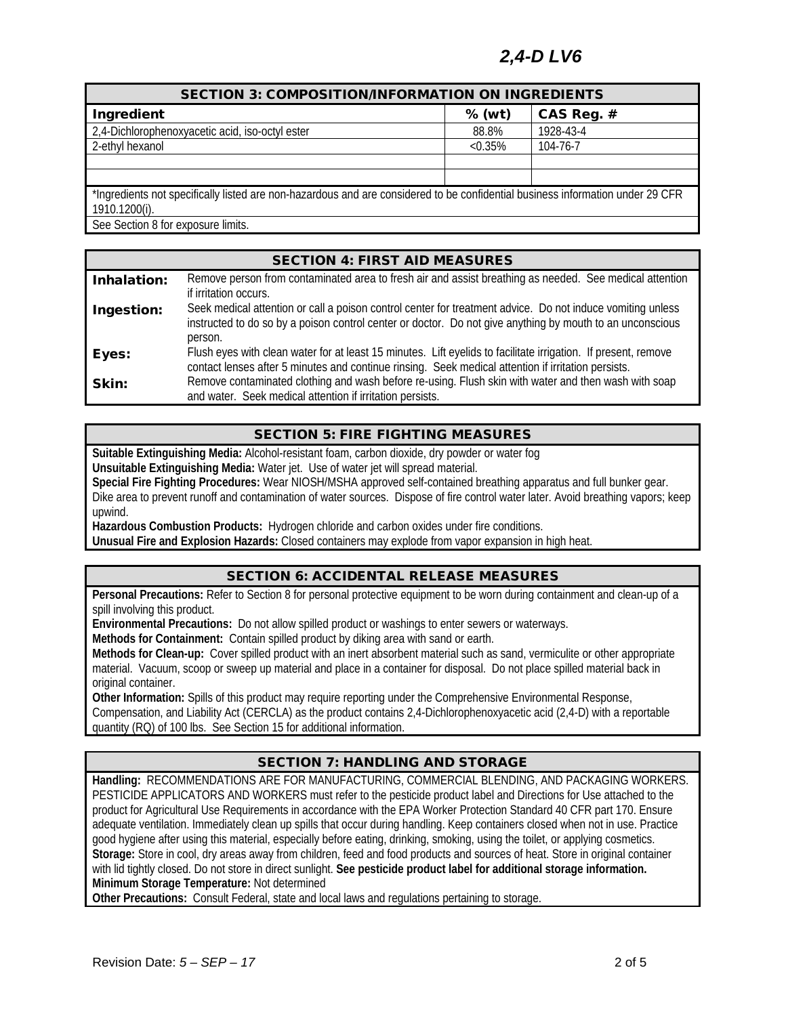## *2,4-D LV6*

| <b>SECTION 3: COMPOSITION/INFORMATION ON INGREDIENTS</b>                                                                                        |            |            |  |
|-------------------------------------------------------------------------------------------------------------------------------------------------|------------|------------|--|
| Ingredient                                                                                                                                      | $%$ (wt)   | CAS Reg. # |  |
| 2,4-Dichlorophenoxyacetic acid, iso-octyl ester                                                                                                 | 88.8%      | 1928-43-4  |  |
| 2-ethyl hexanol                                                                                                                                 | $< 0.35\%$ | 104-76-7   |  |
|                                                                                                                                                 |            |            |  |
|                                                                                                                                                 |            |            |  |
| *Ingredients not specifically listed are non-hazardous and are considered to be confidential business information under 29 CFR<br>1910.1200(i). |            |            |  |
| See Section 8 for exposure limits.                                                                                                              |            |            |  |

|             | <b>SECTION 4: FIRST AID MEASURES</b>                                                                                                                                                                                               |
|-------------|------------------------------------------------------------------------------------------------------------------------------------------------------------------------------------------------------------------------------------|
| Inhalation: | Remove person from contaminated area to fresh air and assist breathing as needed. See medical attention<br>if irritation occurs.                                                                                                   |
| Ingestion:  | Seek medical attention or call a poison control center for treatment advice. Do not induce vomiting unless<br>instructed to do so by a poison control center or doctor. Do not give anything by mouth to an unconscious<br>person. |
| Eyes:       | Flush eyes with clean water for at least 15 minutes. Lift eyelids to facilitate irrigation. If present, remove<br>contact lenses after 5 minutes and continue rinsing. Seek medical attention if irritation persists.              |
| Skin:       | Remove contaminated clothing and wash before re-using. Flush skin with water and then wash with soap<br>and water. Seek medical attention if irritation persists.                                                                  |

## SECTION 5: FIRE FIGHTING MEASURES

**Suitable Extinguishing Media:** Alcohol-resistant foam, carbon dioxide, dry powder or water fog

**Unsuitable Extinguishing Media:** Water jet. Use of water jet will spread material.

**Special Fire Fighting Procedures:** Wear NIOSH/MSHA approved self-contained breathing apparatus and full bunker gear. Dike area to prevent runoff and contamination of water sources. Dispose of fire control water later. Avoid breathing vapors; keep upwind.

**Hazardous Combustion Products:** Hydrogen chloride and carbon oxides under fire conditions.

**Unusual Fire and Explosion Hazards:** Closed containers may explode from vapor expansion in high heat.

## SECTION 6: ACCIDENTAL RELEASE MEASURES

**Personal Precautions:** Refer to Section 8 for personal protective equipment to be worn during containment and clean-up of a spill involving this product.

**Environmental Precautions:** Do not allow spilled product or washings to enter sewers or waterways.

**Methods for Containment:** Contain spilled product by diking area with sand or earth.

**Methods for Clean-up:** Cover spilled product with an inert absorbent material such as sand, vermiculite or other appropriate material. Vacuum, scoop or sweep up material and place in a container for disposal. Do not place spilled material back in original container.

**Other Information:** Spills of this product may require reporting under the Comprehensive Environmental Response, Compensation, and Liability Act (CERCLA) as the product contains 2,4-Dichlorophenoxyacetic acid (2,4-D) with a reportable quantity (RQ) of 100 lbs. See Section 15 for additional information.

## SECTION 7: HANDLING AND STORAGE

**Handling:** RECOMMENDATIONS ARE FOR MANUFACTURING, COMMERCIAL BLENDING, AND PACKAGING WORKERS. PESTICIDE APPLICATORS AND WORKERS must refer to the pesticide product label and Directions for Use attached to the product for Agricultural Use Requirements in accordance with the EPA Worker Protection Standard 40 CFR part 170. Ensure adequate ventilation. Immediately clean up spills that occur during handling. Keep containers closed when not in use. Practice good hygiene after using this material, especially before eating, drinking, smoking, using the toilet, or applying cosmetics. **Storage:** Store in cool, dry areas away from children, feed and food products and sources of heat. Store in original container with lid tightly closed. Do not store in direct sunlight. **See pesticide product label for additional storage information. Minimum Storage Temperature:** Not determined

**Other Precautions:** Consult Federal, state and local laws and regulations pertaining to storage.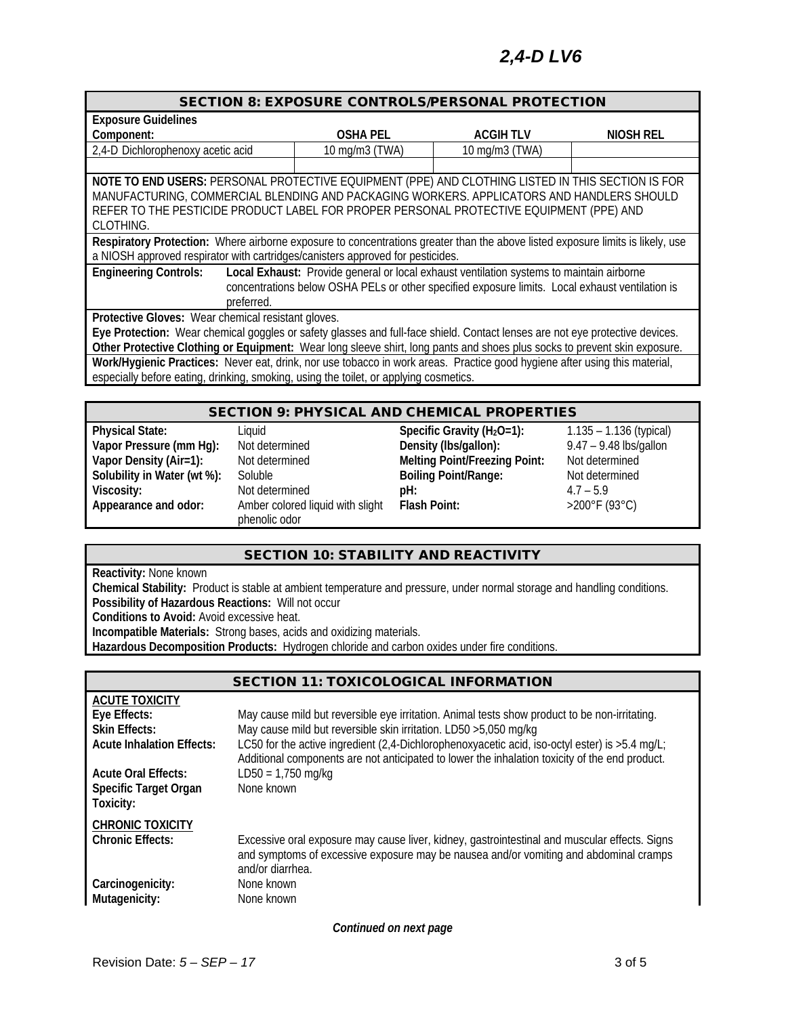| <b>Exposure Guidelines</b>                                                                                                     |                 |                  |           |  |
|--------------------------------------------------------------------------------------------------------------------------------|-----------------|------------------|-----------|--|
| Component:                                                                                                                     | <b>OSHA PEL</b> | <b>ACGIH TLV</b> | NIOSH REL |  |
| 2,4-D Dichlorophenoxy acetic acid                                                                                              | 10 mg/m3 (TWA)  | 10 mg/m3 (TWA)   |           |  |
|                                                                                                                                |                 |                  |           |  |
| NOTE TO END USERS: PERSONAL PROTECTIVE EQUIPMENT (PPE) AND CLOTHING LISTED IN THIS SECTION IS FOR                              |                 |                  |           |  |
| MANUFACTURING, COMMERCIAL BLENDING AND PACKAGING WORKERS. APPLICATORS AND HANDLERS SHOULD                                      |                 |                  |           |  |
| REFER TO THE PESTICIDE PRODUCT LABEL FOR PROPER PERSONAL PROTECTIVE EQUIPMENT (PPE) AND                                        |                 |                  |           |  |
| CLOTHING.                                                                                                                      |                 |                  |           |  |
| Respiratory Protection: Where airborne exposure to concentrations greater than the above listed exposure limits is likely, use |                 |                  |           |  |

a NIOSH approved respirator with cartridges/canisters approved for pesticides.

**Engineering Controls: Local Exhaust:** Provide general or local exhaust ventilation systems to maintain airborne concentrations below OSHA PELs or other specified exposure limits. Local exhaust ventilation is preferred.

**Protective Gloves:** Wear chemical resistant gloves.

**Eye Protection:** Wear chemical goggles or safety glasses and full-face shield. Contact lenses are not eye protective devices. **Other Protective Clothing or Equipment:** Wear long sleeve shirt, long pants and shoes plus socks to prevent skin exposure. **Work/Hygienic Practices:** Never eat, drink, nor use tobacco in work areas. Practice good hygiene after using this material, especially before eating, drinking, smoking, using the toilet, or applying cosmetics.

| <b>SECTION 9: PHYSICAL AND CHEMICAL PROPERTIES</b> |  |
|----------------------------------------------------|--|
|                                                    |  |

| <b>Physical State:</b>      | Liauid                           | Specific Gravity ( $H_2O=1$ ):       | $1.135 - 1.136$ (typical)         |
|-----------------------------|----------------------------------|--------------------------------------|-----------------------------------|
| Vapor Pressure (mm Hg):     | Not determined                   | Density (Ibs/gallon):                | $9.47 - 9.48$ lbs/gallon          |
| Vapor Density (Air=1):      | Not determined                   | <b>Melting Point/Freezing Point:</b> | Not determined                    |
| Solubility in Water (wt %): | Soluble                          | <b>Boiling Point/Range:</b>          | Not determined                    |
| Viscosity:                  | Not determined                   | $pH$ :                               | $4.7 - 5.9$                       |
| Appearance and odor:        | Amber colored liquid with slight | Flash Point:                         | >200 $\degree$ F (93 $\degree$ C) |
|                             | phenolic odor                    |                                      |                                   |

## SECTION 10: STABILITY AND REACTIVITY

**Reactivity:** None known

**Chemical Stability:** Product is stable at ambient temperature and pressure, under normal storage and handling conditions. **Possibility of Hazardous Reactions:** Will not occur

**Conditions to Avoid:** Avoid excessive heat.

**Incompatible Materials:** Strong bases, acids and oxidizing materials.

**Hazardous Decomposition Products:** Hydrogen chloride and carbon oxides under fire conditions.

|                                           | <b>SECTION 11: TOXICOLOGICAL INFORMATION</b>                                                                                                                                                               |
|-------------------------------------------|------------------------------------------------------------------------------------------------------------------------------------------------------------------------------------------------------------|
| <b>ACUTE TOXICITY</b>                     |                                                                                                                                                                                                            |
| Eye Effects:                              | May cause mild but reversible eye irritation. Animal tests show product to be non-irritating.                                                                                                              |
| <b>Skin Effects:</b>                      | May cause mild but reversible skin irritation. LD50 > 5,050 mg/kg                                                                                                                                          |
| <b>Acute Inhalation Effects:</b>          | LC50 for the active ingredient (2,4-Dichlorophenoxyacetic acid, iso-octyl ester) is $>5.4$ mg/L;<br>Additional components are not anticipated to lower the inhalation toxicity of the end product.         |
| <b>Acute Oral Effects:</b>                | $LD50 = 1,750$ mg/kg                                                                                                                                                                                       |
| <b>Specific Target Organ</b><br>Toxicity: | None known                                                                                                                                                                                                 |
| <b>CHRONIC TOXICITY</b>                   |                                                                                                                                                                                                            |
| <b>Chronic Effects:</b>                   | Excessive oral exposure may cause liver, kidney, gastrointestinal and muscular effects. Signs<br>and symptoms of excessive exposure may be nausea and/or vomiting and abdominal cramps<br>and/or diarrhea. |
| Carcinogenicity:                          | None known                                                                                                                                                                                                 |
| Mutagenicity:                             | None known                                                                                                                                                                                                 |

*Continued on next page*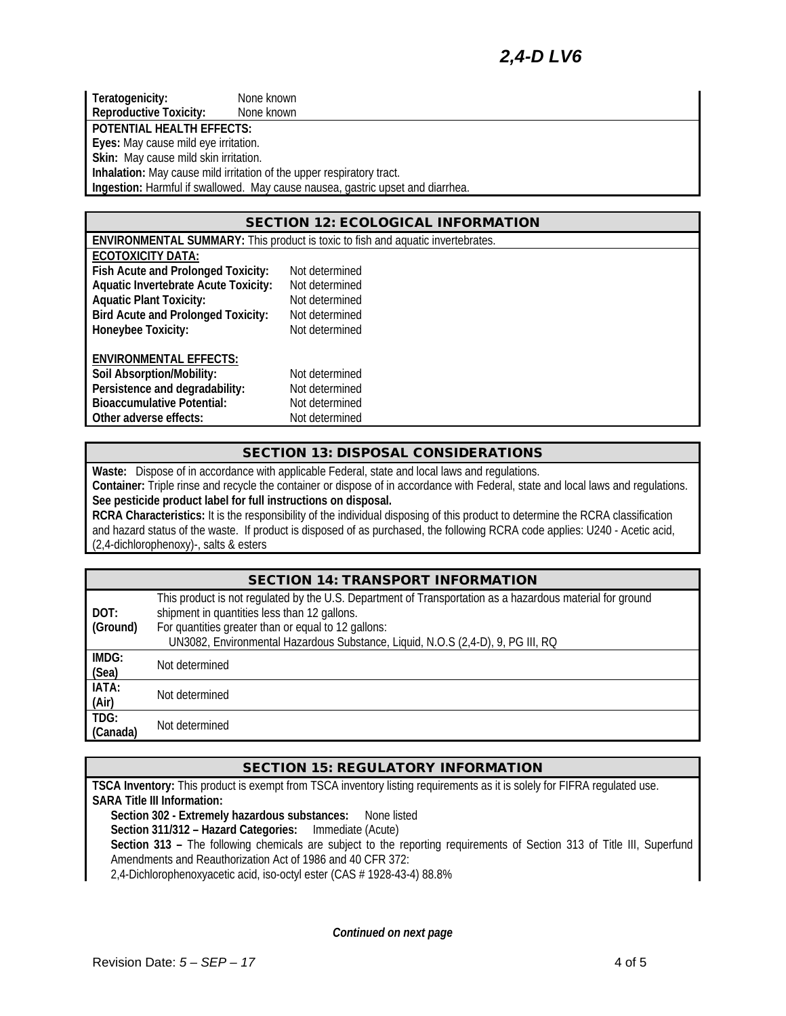**Teratogenicity:** None known **Reproductive Toxicity:** None known

**POTENTIAL HEALTH EFFECTS:**

**Eyes:** May cause mild eye irritation.

**Skin:** May cause mild skin irritation.

**Inhalation:** May cause mild irritation of the upper respiratory tract.

**Ingestion:** Harmful if swallowed. May cause nausea, gastric upset and diarrhea.

#### SECTION 12: ECOLOGICAL INFORMATION

| <b>ENVIRONMENTAL SUMMARY:</b> This product is toxic to fish and aquatic invertebrates. |                |  |
|----------------------------------------------------------------------------------------|----------------|--|
| ECOTOXICITY DATA:                                                                      |                |  |
| Fish Acute and Prolonged Toxicity:                                                     | Not determined |  |
| <b>Aquatic Invertebrate Acute Toxicity:</b>                                            | Not determined |  |
| <b>Aquatic Plant Toxicity:</b>                                                         | Not determined |  |
| <b>Bird Acute and Prolonged Toxicity:</b>                                              | Not determined |  |
| Honeybee Toxicity:                                                                     | Not determined |  |
| <b>ENVIRONMENTAL EFFECTS:</b>                                                          |                |  |
| Soil Absorption/Mobility:                                                              | Not determined |  |
| Persistence and degradability:                                                         | Not determined |  |
| <b>Bioaccumulative Potential:</b>                                                      | Not determined |  |
| Other adverse effects:                                                                 | Not determined |  |

#### SECTION 13: DISPOSAL CONSIDERATIONS

**Waste:** Dispose of in accordance with applicable Federal, state and local laws and regulations.

**Container:** Triple rinse and recycle the container or dispose of in accordance with Federal, state and local laws and regulations. **See pesticide product label for full instructions on disposal.**

**RCRA Characteristics:** It is the responsibility of the individual disposing of this product to determine the RCRA classification and hazard status of the waste. If product is disposed of as purchased, the following RCRA code applies: U240 - Acetic acid, (2,4-dichlorophenoxy)-, salts & esters

#### SECTION 14: TRANSPORT INFORMATION

| DOT:<br>(Ground) | This product is not regulated by the U.S. Department of Transportation as a hazardous material for ground<br>shipment in quantities less than 12 gallons.<br>For quantities greater than or equal to 12 gallons:<br>UN3082, Environmental Hazardous Substance, Liquid, N.O.S (2,4-D), 9, PG III, RQ |
|------------------|-----------------------------------------------------------------------------------------------------------------------------------------------------------------------------------------------------------------------------------------------------------------------------------------------------|
| IMDG:<br>(Sea)   | Not determined                                                                                                                                                                                                                                                                                      |
| IATA:<br>(Air)   | Not determined                                                                                                                                                                                                                                                                                      |
| TDG:<br>(Canada) | Not determined                                                                                                                                                                                                                                                                                      |

#### SECTION 15: REGULATORY INFORMATION

**TSCA Inventory:** This product is exempt from TSCA inventory listing requirements as it is solely for FIFRA regulated use. **SARA Title III Information:**

**Section 302 - Extremely hazardous substances:** None listed **Section 311/312 – Hazard Categories:** Immediate (Acute) **Section 313 –** The following chemicals are subject to the reporting requirements of Section 313 of Title III, Superfund Amendments and Reauthorization Act of 1986 and 40 CFR 372: 2,4-Dichlorophenoxyacetic acid, iso-octyl ester (CAS # 1928-43-4) 88.8%

*Continued on next page*